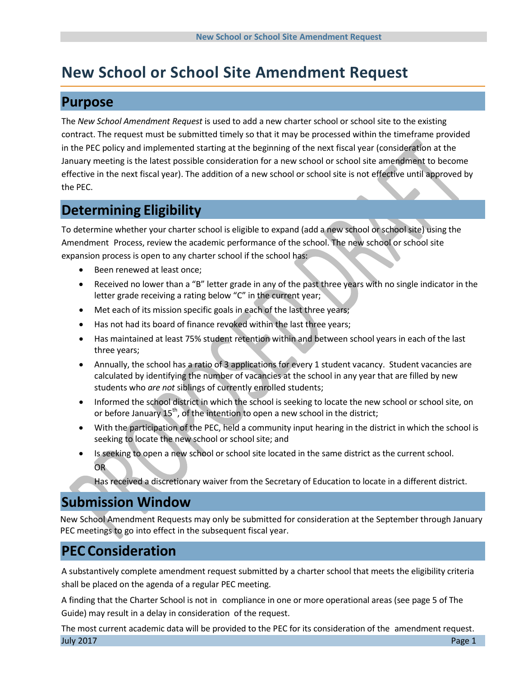# **New School or School Site Amendment Request**

### **Purpose**

The *New School Amendment Request* is used to add a new charter school or school site to the existing contract. The request must be submitted timely so that it may be processed within the timeframe provided in the PEC policy and implemented starting at the beginning of the next fiscal year (consideration at the January meeting is the latest possible consideration for a new school or school site amendment to become effective in the next fiscal year). The addition of a new school or school site is not effective until approved by the PEC.

### **Determining Eligibility**

To determine whether your charter school is eligible to expand (add a new school or school site) using the Amendment Process, review the academic performance of the school. The new school or school site expansion process is open to any charter school if the school has:

- Been renewed at least once;
- Received no lower than a "B" letter grade in any of the past three years with no single indicator in the letter grade receiving a rating below "C" in the current year;
- Met each of its mission specific goals in each of the last three years;
- Has not had its board of finance revoked within the last three years;
- Has maintained at least 75% student retention within and between school years in each of the last three years;
- Annually, the school has a ratio of 3 applications for every 1 student vacancy. Student vacancies are calculated by identifying the number of vacancies at the school in any year that are filled by new students who *are not* siblings of currently enrolled students;
- Informed the school district in which the school is seeking to locate the new school or school site, on or before January  $15<sup>th</sup>$ , of the intention to open a new school in the district;
- With the participation of the PEC, held a community input hearing in the district in which the school is seeking to locate the new school or school site; and
- Is seeking to open a new school or school site located in the same district as the current school. OR
	- Has received a discretionary waiver from the Secretary of Education to locate in a different district.

### **Submission Window**

New School Amendment Requests may only be submitted for consideration at the September through January PEC meetings to go into effect in the subsequent fiscal year.

# **PEC Consideration**

A substantively complete amendment request submitted by a charter school that meets the eligibility criteria shall be placed on the agenda of a regular PEC meeting.

A finding that the Charter School is not in compliance in one or more operational areas (see page 5 of The Guide) may result in a delay in consideration of the request.

July 2017 Page 1 The most current academic data will be provided to the PEC for its consideration of the amendment request.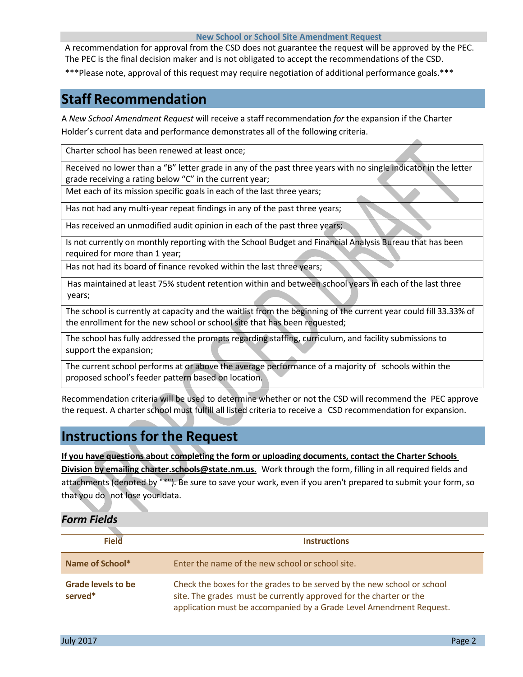#### **New School or School Site Amendment Request**

A recommendation for approval from the CSD does not guarantee the request will be approved by the PEC. The PEC is the final decision maker and is not obligated to accept the recommendations of the CSD.

\*\*\*Please note, approval of this request may require negotiation of additional performance goals.\*\*\*

### **Staff Recommendation**

A *New School Amendment Request* will receive a staff recommendation *for* the expansion if the Charter Holder's current data and performance demonstrates all of the following criteria.

Charter school has been renewed at least once;

Received no lower than a "B" letter grade in any of the past three years with no single indicator in the letter grade receiving a rating below "C" in the current year;

Met each of its mission specific goals in each of the last three years;

Has not had any multi-year repeat findings in any of the past three years;

Has received an unmodified audit opinion in each of the past three years;

Is not currently on monthly reporting with the School Budget and Financial Analysis Bureau that has been required for more than 1 year;

Has not had its board of finance revoked within the last three years;

Has maintained at least 75% student retention within and between school years in each of the last three years;

The school is currently at capacity and the waitlist from the beginning of the current year could fill 33.33% of the enrollment for the new school or school site that has been requested;

The school has fully addressed the prompts regarding staffing, curriculum, and facility submissions to support the expansion;

The current school performs at or above the average performance of a majority of schools within the proposed school's feeder pattern based on location.

Recommendation criteria will be used to determine whether or not the CSD will recommend the PEC approve the request. A charter school must fulfill all listed criteria to receive a CSD recommendation for expansion.

### **Instructions for the Request**

**If you have questions about completing the form or uploading documents, contact the Charter Schools Division by emailing charter.schools@state.nm.us.** Work through the form, filling in all required fields and attachments (denoted by "\*"). Be sure to save your work, even if you aren't prepared to submit your form, so that you do not lose your data.

#### *Form Fields*

| <b>Field</b>                         | <b>Instructions</b>                                                                                                                                                                                                  |
|--------------------------------------|----------------------------------------------------------------------------------------------------------------------------------------------------------------------------------------------------------------------|
| Name of School*                      | Enter the name of the new school or school site.                                                                                                                                                                     |
| <b>Grade levels to be</b><br>served* | Check the boxes for the grades to be served by the new school or school<br>site. The grades must be currently approved for the charter or the<br>application must be accompanied by a Grade Level Amendment Request. |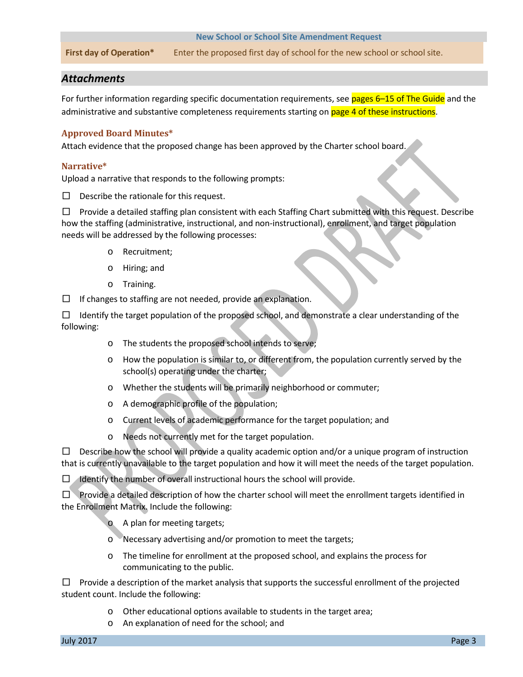#### **New School or School Site Amendment Request**

**First day of Operation\*** Enter the proposed first day of school for the new school or school site.

#### *Attachments*

For further information regarding specific documentation requirements, see pages 6-15 of The Guide and the administrative and substantive completeness requirements starting on page 4 of these instructions.

#### **Approved Board Minutes\***

Attach evidence that the proposed change has been approved by the Charter school board.

#### **Narrative\***

Upload a narrative that responds to the following prompts:

 $\Box$  Describe the rationale for this request.

□ Provide a detailed staffing plan consistent with each Staffing Chart submitted with this request. Describe how the staffing (administrative, instructional, and non-instructional), enrollment, and target population needs will be addressed by the following processes:

- o Recruitment;
- o Hiring; and
- o Training.

 $\Box$  If changes to staffing are not needed, provide an explanation.

 $\Box$  Identify the target population of the proposed school, and demonstrate a clear understanding of the following:

- o The students the proposed school intends to serve;
- o How the population is similar to, or different from, the population currently served by the school(s) operating under the charter;
- o Whether the students will be primarily neighborhood or commuter;
- o A demographic profile of the population;
- o Current levels of academic performance for the target population; and
- o Needs not currently met for the target population.

 $\Box$  Describe how the school will provide a quality academic option and/or a unique program of instruction that is currently unavailable to the target population and how it will meet the needs of the target population.

 $\Box$  Identify the number of overall instructional hours the school will provide.

 $\square$  Provide a detailed description of how the charter school will meet the enrollment targets identified in the Enrollment Matrix. Include the following:

- o A plan for meeting targets;
- o Necessary advertising and/or promotion to meet the targets;
- o The timeline for enrollment at the proposed school, and explains the process for communicating to the public.

 $\Box$  Provide a description of the market analysis that supports the successful enrollment of the projected student count. Include the following:

- o Other educational options available to students in the target area;
- o An explanation of need for the school; and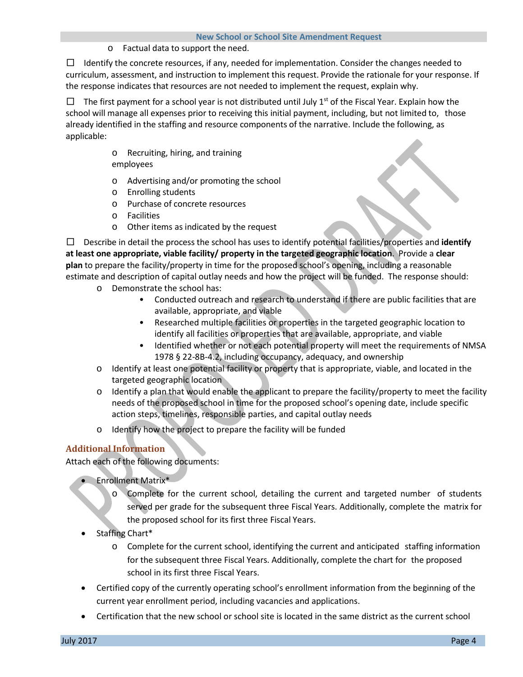o Factual data to support the need.

 $\Box$  Identify the concrete resources, if any, needed for implementation. Consider the changes needed to curriculum, assessment, and instruction to implement this request. Provide the rationale for your response. If the response indicates that resources are not needed to implement the request, explain why.

 $\Box$  The first payment for a school year is not distributed until July 1<sup>st</sup> of the Fiscal Year. Explain how the school will manage all expenses prior to receiving this initial payment, including, but not limited to, those already identified in the staffing and resource components of the narrative. Include the following, as applicable:

- o Recruiting, hiring, and training employees
- o Advertising and/or promoting the school
- o Enrolling students
- o Purchase of concrete resources
- o Facilities
- o Other items as indicated by the request

□ Describe in detail the process the school has uses to identify potential facilities/properties and **identify at least one appropriate, viable facility/ property in the targeted geographic location**. Provide a **clear plan** to prepare the facility/property in time for the proposed school's opening, including a reasonable estimate and description of capital outlay needs and how the project will be funded. The response should:

- o Demonstrate the school has:
	- Conducted outreach and research to understand if there are public facilities that are available, appropriate, and viable
	- Researched multiple facilities or properties in the targeted geographic location to identify all facilities or properties that are available, appropriate, and viable
	- Identified whether or not each potential property will meet the requirements of NMSA 1978 § 22-8B-4.2, including occupancy, adequacy, and ownership
- o Identify at least one potential facility or property that is appropriate, viable, and located in the targeted geographic location
- o Identify a plan that would enable the applicant to prepare the facility/property to meet the facility needs of the proposed school in time for the proposed school's opening date, include specific action steps, timelines, responsible parties, and capital outlay needs
- o Identify how the project to prepare the facility will be funded

### **Additional Information**

Attach each of the following documents:

- Enrollment Matrix\*
	- Complete for the current school, detailing the current and targeted number of students served per grade for the subsequent three Fiscal Years. Additionally, complete the matrix for the proposed school for its first three Fiscal Years.
- Staffing Chart\*
	- o Complete for the current school, identifying the current and anticipated staffing information for the subsequent three Fiscal Years. Additionally, complete the chart for the proposed school in its first three Fiscal Years.
- Certified copy of the currently operating school's enrollment information from the beginning of the current year enrollment period, including vacancies and applications.
- Certification that the new school or school site is located in the same district as the current school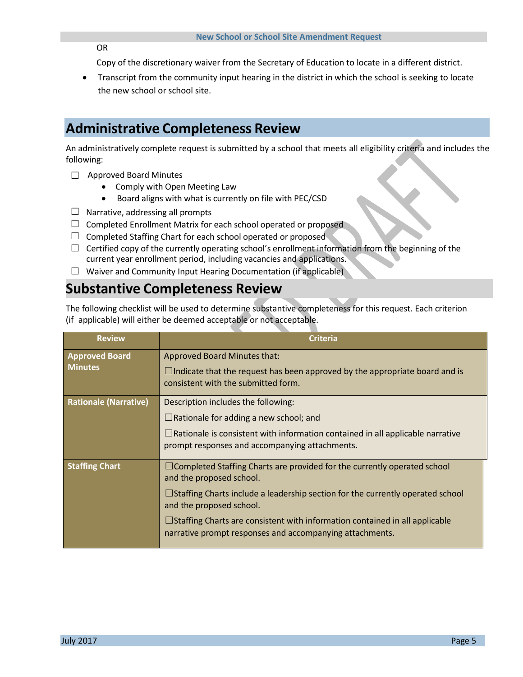OR

Copy of the discretionary waiver from the Secretary of Education to locate in a different district.

• Transcript from the community input hearing in the district in which the school is seeking to locate the new school or school site.

# **Administrative Completeness Review**

An administratively complete request is submitted by a school that meets all eligibility criteria and includes the following:

- ☐ Approved Board Minutes
	- Comply with Open Meeting Law
	- Board aligns with what is currently on file with PEC/CSD
- $\Box$  Narrative, addressing all prompts
- $\Box$  Completed Enrollment Matrix for each school operated or proposed
- $\Box$  Completed Staffing Chart for each school operated or proposed
- $\Box$  Certified copy of the currently operating school's enrollment information from the beginning of the current year enrollment period, including vacancies and applications.
- $\Box$  Waiver and Community Input Hearing Documentation (if applicable)

# **Substantive Completeness Review**

The following checklist will be used to determine substantive completeness for this request. Each criterion (if applicable) will either be deemed acceptable or not acceptable.

| <b>Review</b>                           | <b>Criteria</b>                                                                                                                                                                                                                                                                                                                                                                    |
|-----------------------------------------|------------------------------------------------------------------------------------------------------------------------------------------------------------------------------------------------------------------------------------------------------------------------------------------------------------------------------------------------------------------------------------|
| <b>Approved Board</b><br><b>Minutes</b> | Approved Board Minutes that:<br>$\Box$ Indicate that the request has been approved by the appropriate board and is<br>consistent with the submitted form.                                                                                                                                                                                                                          |
| <b>Rationale (Narrative)</b>            | Description includes the following:<br>$\Box$ Rationale for adding a new school; and<br>$\Box$ Rationale is consistent with information contained in all applicable narrative<br>prompt responses and accompanying attachments.                                                                                                                                                    |
| <b>Staffing Chart</b>                   | $\Box$ Completed Staffing Charts are provided for the currently operated school<br>and the proposed school.<br>$\Box$ Staffing Charts include a leadership section for the currently operated school<br>and the proposed school.<br>$\Box$ Staffing Charts are consistent with information contained in all applicable<br>narrative prompt responses and accompanying attachments. |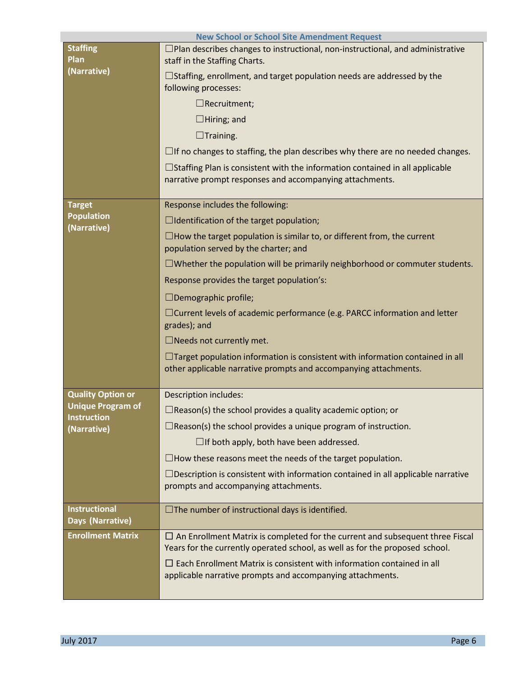| <b>New School or School Site Amendment Request</b>            |                                                                                                                                                                      |  |
|---------------------------------------------------------------|----------------------------------------------------------------------------------------------------------------------------------------------------------------------|--|
| <b>Staffing</b><br>Plan<br>(Narrative)                        | $\Box$ Plan describes changes to instructional, non-instructional, and administrative<br>staff in the Staffing Charts.                                               |  |
|                                                               | $\Box$ Staffing, enrollment, and target population needs are addressed by the<br>following processes:                                                                |  |
|                                                               | $\Box$ Recruitment;                                                                                                                                                  |  |
|                                                               | $\Box$ Hiring; and                                                                                                                                                   |  |
|                                                               | $\Box$ Training.                                                                                                                                                     |  |
|                                                               | $\Box$ If no changes to staffing, the plan describes why there are no needed changes.                                                                                |  |
|                                                               | $\Box$ Staffing Plan is consistent with the information contained in all applicable<br>narrative prompt responses and accompanying attachments.                      |  |
| <b>Target</b>                                                 | Response includes the following:                                                                                                                                     |  |
| <b>Population</b><br>(Narrative)                              | $\Box$ Identification of the target population;                                                                                                                      |  |
|                                                               | $\Box$ How the target population is similar to, or different from, the current<br>population served by the charter; and                                              |  |
|                                                               | $\Box$ Whether the population will be primarily neighborhood or commuter students.                                                                                   |  |
|                                                               | Response provides the target population's:                                                                                                                           |  |
|                                                               | $\Box$ Demographic profile;                                                                                                                                          |  |
|                                                               | $\Box$ Current levels of academic performance (e.g. PARCC information and letter<br>grades); and                                                                     |  |
|                                                               | □Needs not currently met.                                                                                                                                            |  |
|                                                               | $\Box$ Target population information is consistent with information contained in all<br>other applicable narrative prompts and accompanying attachments.             |  |
| <b>Quality Option or</b>                                      | <b>Description includes:</b>                                                                                                                                         |  |
| <b>Unique Program of</b><br><b>Instruction</b><br>(Narrative) | $\Box$ Reason(s) the school provides a quality academic option; or                                                                                                   |  |
|                                                               | $\Box$ Reason(s) the school provides a unique program of instruction.                                                                                                |  |
|                                                               | $\Box$ If both apply, both have been addressed.                                                                                                                      |  |
|                                                               | $\Box$ How these reasons meet the needs of the target population.                                                                                                    |  |
|                                                               | $\Box$ Description is consistent with information contained in all applicable narrative<br>prompts and accompanying attachments.                                     |  |
| <b>Instructional</b><br>Days (Narrative)                      | $\Box$ The number of instructional days is identified.                                                                                                               |  |
| <b>Enrollment Matrix</b>                                      | $\Box$ An Enrollment Matrix is completed for the current and subsequent three Fiscal<br>Years for the currently operated school, as well as for the proposed school. |  |
|                                                               | $\Box$ Each Enrollment Matrix is consistent with information contained in all<br>applicable narrative prompts and accompanying attachments.                          |  |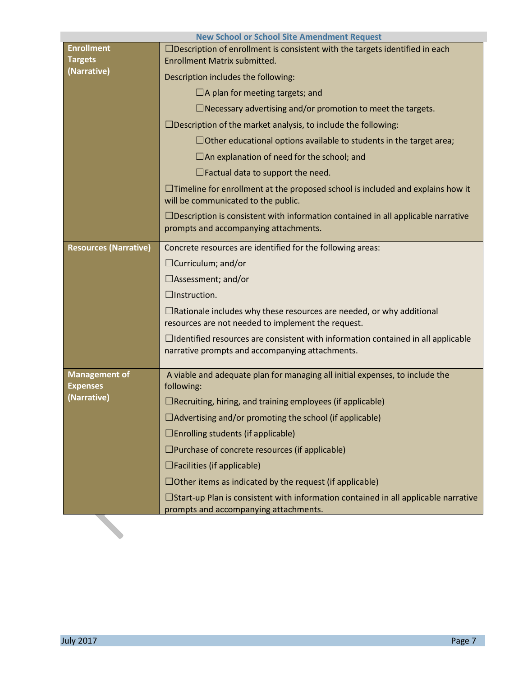|                                         | <b>New School or School Site Amendment Request</b>                                                                                         |
|-----------------------------------------|--------------------------------------------------------------------------------------------------------------------------------------------|
| <b>Enrollment</b>                       | $\Box$ Description of enrollment is consistent with the targets identified in each                                                         |
| <b>Targets</b>                          | <b>Enrollment Matrix submitted.</b>                                                                                                        |
| (Narrative)                             | Description includes the following:                                                                                                        |
|                                         | $\Box$ A plan for meeting targets; and                                                                                                     |
|                                         | $\Box$ Necessary advertising and/or promotion to meet the targets.                                                                         |
|                                         | $\Box$ Description of the market analysis, to include the following:                                                                       |
|                                         | $\Box$ Other educational options available to students in the target area;                                                                 |
|                                         | $\Box$ An explanation of need for the school; and                                                                                          |
|                                         | $\Box$ Factual data to support the need.                                                                                                   |
|                                         | $\Box$ Timeline for enrollment at the proposed school is included and explains how it<br>will be communicated to the public.               |
|                                         | $\Box$ Description is consistent with information contained in all applicable narrative<br>prompts and accompanying attachments.           |
| <b>Resources (Narrative)</b>            | Concrete resources are identified for the following areas:                                                                                 |
|                                         | $\Box$ Curriculum; and/or                                                                                                                  |
|                                         | $\Box$ Assessment; and/or                                                                                                                  |
|                                         | $\Box$ Instruction.                                                                                                                        |
|                                         | $\Box$ Rationale includes why these resources are needed, or why additional<br>resources are not needed to implement the request.          |
|                                         | $\Box$ Identified resources are consistent with information contained in all applicable<br>narrative prompts and accompanying attachments. |
| <b>Management of</b><br><b>Expenses</b> | A viable and adequate plan for managing all initial expenses, to include the<br>following:                                                 |
| (Narrative)                             | $\Box$ Recruiting, hiring, and training employees (if applicable)                                                                          |
|                                         | $\Box$ Advertising and/or promoting the school (if applicable)                                                                             |
|                                         | $\Box$ Enrolling students (if applicable)                                                                                                  |
|                                         | $\Box$ Purchase of concrete resources (if applicable)                                                                                      |
|                                         | $\Box$ Facilities (if applicable)                                                                                                          |
|                                         | $\Box$ Other items as indicated by the request (if applicable)                                                                             |
|                                         | $\Box$ Start-up Plan is consistent with information contained in all applicable narrative                                                  |
|                                         | prompts and accompanying attachments.                                                                                                      |
|                                         |                                                                                                                                            |